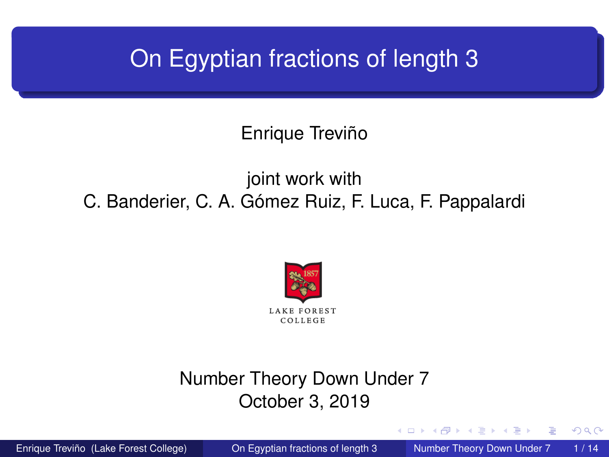### <span id="page-0-0"></span>On Egyptian fractions of length 3

Enrique Treviño

#### joint work with C. Banderier, C. A. Gómez Ruiz, F. Luca, F. Pappalardi



#### Number Theory Down Under 7 October 3, 2019

 $A \equiv 0.4 \equiv$ Enrique Treviño (Lake Forest College) Con Egyptian fractions of length 3 Number Theory Down Under 7 1/14

∢ □ ▶ ィ <sup>□</sup> ▶

 $\Omega$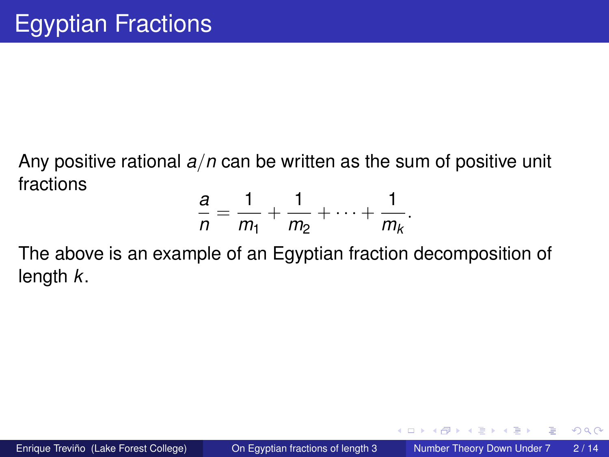Any positive rational *a*/*n* can be written as the sum of positive unit fractions

$$
\frac{a}{n} = \frac{1}{m_1} + \frac{1}{m_2} + \cdots + \frac{1}{m_k}.
$$

The above is an example of an Egyptian fraction decomposition of length *k*.

 $QQ$ 

 $\mathcal{A}$   $\overline{\mathcal{B}}$   $\rightarrow$   $\mathcal{A}$   $\overline{\mathcal{B}}$   $\rightarrow$   $\mathcal{A}$   $\overline{\mathcal{B}}$   $\rightarrow$ 

4 0 8 1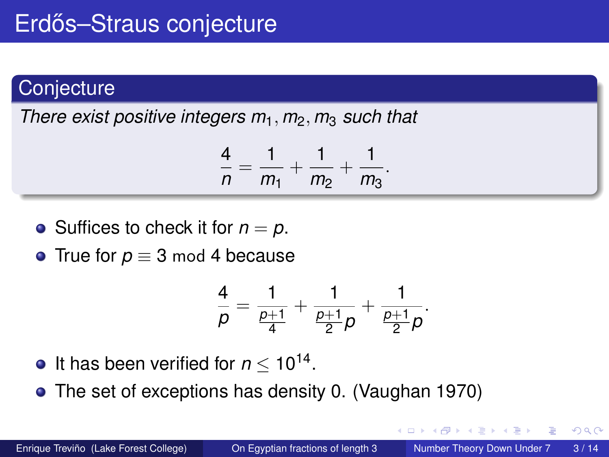#### **Conjecture**

*There exist positive integers m*1, *m*2, *m*<sup>3</sup> *such that*

$$
\frac{4}{n}=\frac{1}{m_1}+\frac{1}{m_2}+\frac{1}{m_3}.
$$

- Suffices to check it for  $n = p$ .
- True for  $p \equiv 3 \mod 4$  because

$$
\frac{4}{\rho}=\frac{1}{\frac{\rho+1}{4}}+\frac{1}{\frac{\rho+1}{2}\rho}+\frac{1}{\frac{\rho+1}{2}\rho}.
$$

- It has been verified for  $n \leq 10^{14}$ .
- The set of exceptions has density 0. (Vaughan 1970)

**The Second** 

4 D.K.

 $\Omega$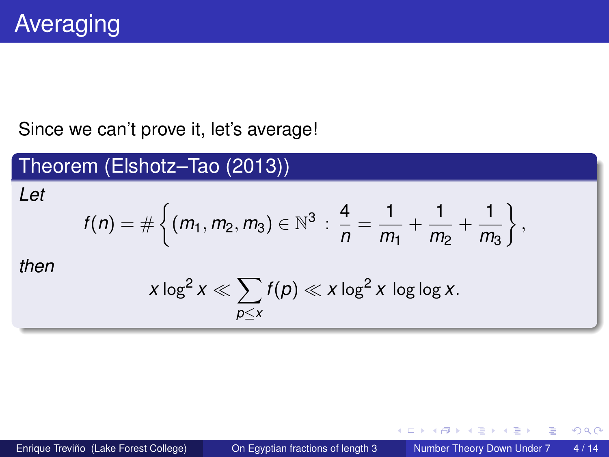#### Since we can't prove it, let's average!

#### Theorem (Elshotz–Tao (2013)) *Let*  $f(n) = \#\left\{(m_1, m_2, m_3) \in \mathbb{N}^3 : \frac{4}{n}\right\}$  $\frac{4}{n} = \frac{1}{m}$  $\frac{1}{m_1} + \frac{1}{m_2}$  $\frac{1}{m_2} + \frac{1}{m_3}$ *m*<sup>3</sup>  $\Big\}$ , *then*  $x\log^2 x \ll \sum f(p)\ll x\log^2 x\,$  log log  $x.$ *p*≤*x*

 $298$ 

イタト イミト イミトー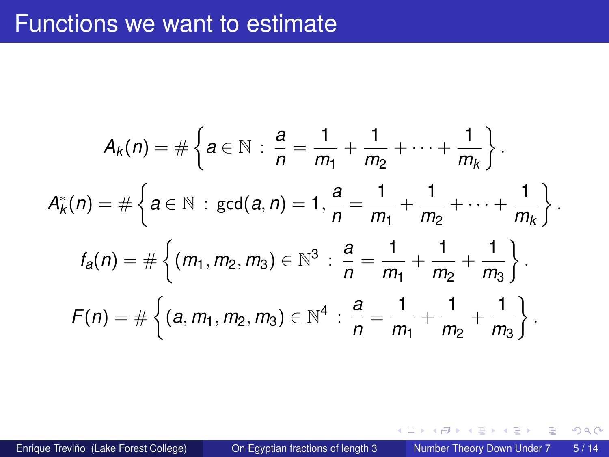#### Functions we want to estimate

$$
A_k(n) = \#\left\{a \in \mathbb{N} : \frac{a}{n} = \frac{1}{m_1} + \frac{1}{m_2} + \dots + \frac{1}{m_k}\right\}.
$$
  

$$
A_k^*(n) = \#\left\{a \in \mathbb{N} : \gcd(a, n) = 1, \frac{a}{n} = \frac{1}{m_1} + \frac{1}{m_2} + \dots + \frac{1}{m_k}\right\}.
$$
  

$$
f_a(n) = \#\left\{(m_1, m_2, m_3) \in \mathbb{N}^3 : \frac{a}{n} = \frac{1}{m_1} + \frac{1}{m_2} + \frac{1}{m_3}\right\}.
$$
  

$$
F(n) = \#\left\{(a, m_1, m_2, m_3) \in \mathbb{N}^4 : \frac{a}{n} = \frac{1}{m_1} + \frac{1}{m_2} + \frac{1}{m_3}\right\}.
$$

Enrique Treviño (Lake Forest College) [On Egyptian fractions of length 3](#page-0-0) Number Theory Down Under 7 5/14

重

 $299$ 

←ロト ←部 ト ←語 ト ←語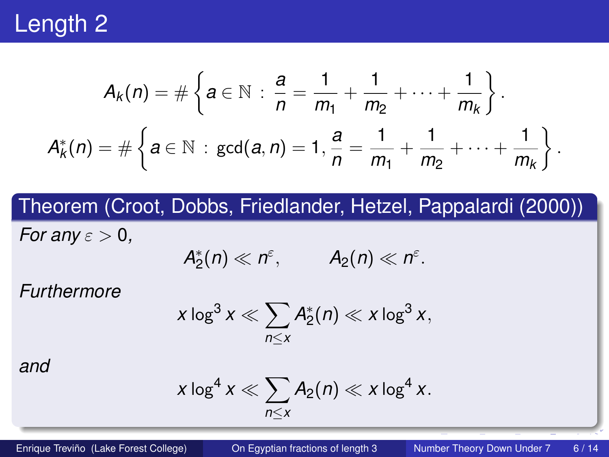

$$
A_k(n) = \#\left\{a \in \mathbb{N} : \frac{a}{n} = \frac{1}{m_1} + \frac{1}{m_2} + \cdots + \frac{1}{m_k}\right\}.
$$
  

$$
A_k^*(n) = \#\left\{a \in \mathbb{N} : \gcd(a, n) = 1, \frac{a}{n} = \frac{1}{m_1} + \frac{1}{m_2} + \cdots + \frac{1}{m_k}\right\}.
$$

#### Theorem (Croot, Dobbs, Friedlander, Hetzel, Pappalardi (2000))

*For any*  $\varepsilon > 0$ ,

$$
A_2^*(n)\ll n^{\varepsilon}, \qquad A_2(n)\ll n^{\varepsilon}.
$$

*Furthermore*

$$
x \log^3 x \ll \sum_{n \leq x} A_2^*(n) \ll x \log^3 x,
$$

*and*

$$
x\log^4 x \ll \sum_{n\leq x} A_2(n) \ll x\log^4 x.
$$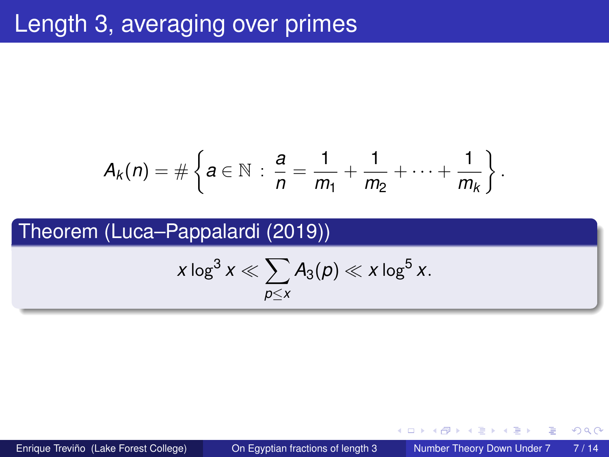$$
A_k(n) = \#\left\{a \in \mathbb{N} \,:\, \frac{a}{n} = \frac{1}{m_1} + \frac{1}{m_2} + \cdots + \frac{1}{m_k}\right\}.
$$

#### Theorem (Luca–Pappalardi (2019))

$$
x \log^3 x \ll \sum_{p \leq x} A_3(p) \ll x \log^5 x.
$$

Enrique Treviño (Lake Forest College) [On Egyptian fractions of length 3](#page-0-0) Number Theory Down Under 7 7/14

 $299$ 

A + + = + +

4 0 8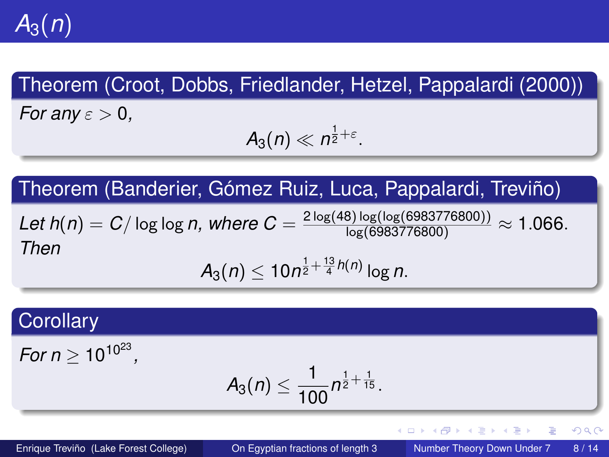$A_3(n)$ 

#### Theorem (Croot, Dobbs, Friedlander, Hetzel, Pappalardi (2000))

*For any*  $\varepsilon > 0$ ,

$$
A_3(n)\ll n^{\frac{1}{2}+\varepsilon}.
$$

#### Theorem (Banderier, Gómez Ruiz, Luca, Pappalardi, Treviño)

 $\mathcal{L}$ et  $h(n) = C/\log\log n,$  where  $C = \frac{2\log(48)\log(\log(6983776800))}{\log(6983776800)} \approx 1.066.$ *Then*  $A_3(n) \leq 10n^{\frac{1}{2} + \frac{13}{4}h(n)}\log n$ .

## **Corollary**  $For n \geq 10^{10^{23}},$  $A_3(n) \leq \frac{1}{100} n^{\frac{1}{2} + \frac{1}{15}}.$

 $QQQ$ 

K ロ ト K 個 ト K 君 ト K 君 ト 一君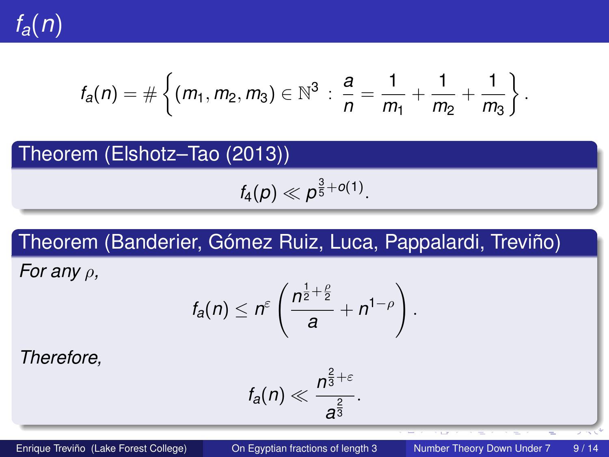

$$
f_a(n) = \#\left\{ (m_1, m_2, m_3) \in \mathbb{N}^3 \, : \, \frac{a}{n} = \frac{1}{m_1} + \frac{1}{m_2} + \frac{1}{m_3} \right\}.
$$

## Theorem (Elshotz–Tao (2013))  $f_4(p) \ll p^{\frac{3}{5} + o(1)}.$

#### Theorem (Banderier, Gómez Ruiz, Luca, Pappalardi, Treviño)

*For any* ρ*,*

$$
f_a(n) \leq n^{\varepsilon} \left( \frac{n^{\frac{1}{2} + \frac{\rho}{2}}}{a} + n^{1-\rho} \right).
$$

*Therefore,*

$$
f_a(n) \ll \frac{n^{\frac{2}{3}+\varepsilon}}{a^{\frac{2}{3}}}.
$$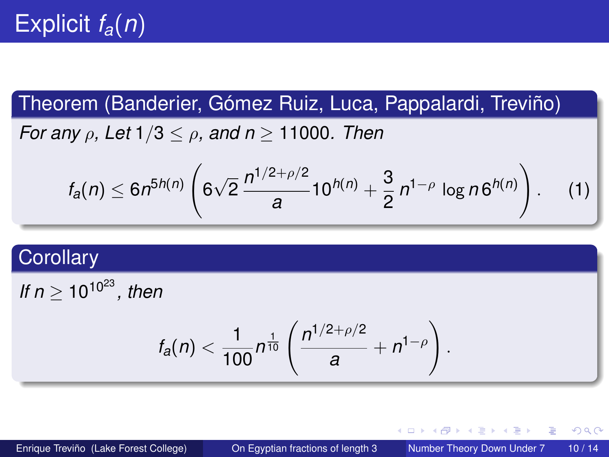#### Theorem (Banderier, Gómez Ruiz, Luca, Pappalardi, Treviño)

*For any* ρ*, Let* 1/3 ≤ ρ*, and n* ≥ 11000*. Then*

$$
f_a(n) \leq 6n^{5h(n)} \left( 6\sqrt{2} \frac{n^{1/2+\rho/2}}{a} 10^{h(n)} + \frac{3}{2} n^{1-\rho} \log n6^{h(n)} \right).
$$
 (1)

#### **Corollary**

*If*  $n > 10^{10^{23}}$ *, then* 

$$
f_a(n) < \frac{1}{100} n^{\frac{1}{10}} \left( \frac{n^{1/2 + \rho/2}}{a} + n^{1-\rho} \right).
$$

 $\Omega$ 

K ロ ⊁ K 倒 ≯ K 君 ⊁ K 君 ⊁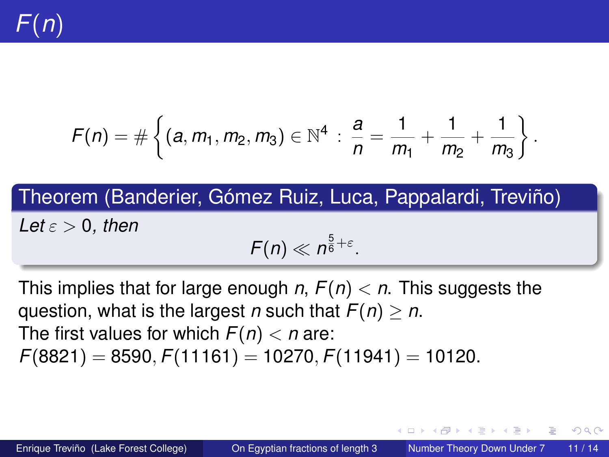

$$
F(n) = \#\left\{ (a, m_1, m_2, m_3) \in \mathbb{N}^4 \, : \, \frac{a}{n} = \frac{1}{m_1} + \frac{1}{m_2} + \frac{1}{m_3} \right\}.
$$

Theorem (Banderier, Gómez Ruiz, Luca, Pappalardi, Treviño) *Let*  $\varepsilon > 0$ *, then*  $F(n) \ll n^{\frac{5}{6}+\varepsilon}.$ 

This implies that for large enough *n*, *F*(*n*) < *n*. This suggests the question, what is the largest *n* such that *F*(*n*) ≥ *n*. The first values for which  $F(n) < n$  are: *F*(8821) = 8590, *F*(11161) = 10270, *F*(11941) = 10120.

 $\mathcal{A}$   $\overline{\mathcal{B}}$   $\rightarrow$   $\mathcal{A}$   $\overline{\mathcal{B}}$   $\rightarrow$   $\mathcal{A}$   $\overline{\mathcal{B}}$   $\rightarrow$ Enrique Treviño (Lake Forest College) [On Egyptian fractions of length 3](#page-0-0) Number Theory Down Under 7 11/14

 $\Omega$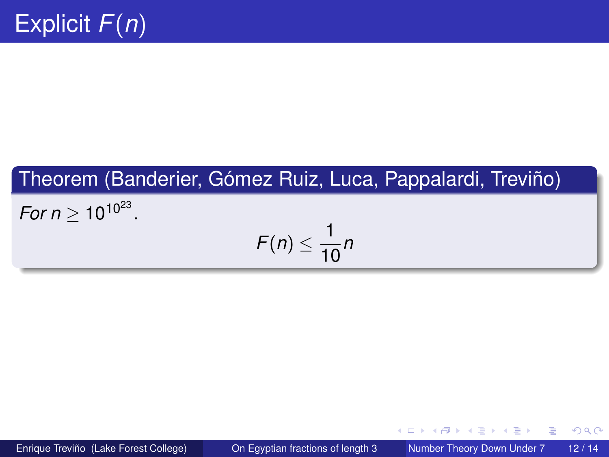#### Theorem (Banderier, Gómez Ruiz, Luca, Pappalardi, Treviño)

*For n*  $\geq 10^{10^{23}}$ .

$$
F(n)\leq \frac{1}{10}n
$$

Enrique Treviño (Lake Forest College) [On Egyptian fractions of length 3](#page-0-0) Number Theory Down Under 7 12 / 14

∍

 $299$ 

イロト イ押ト イヨト イヨト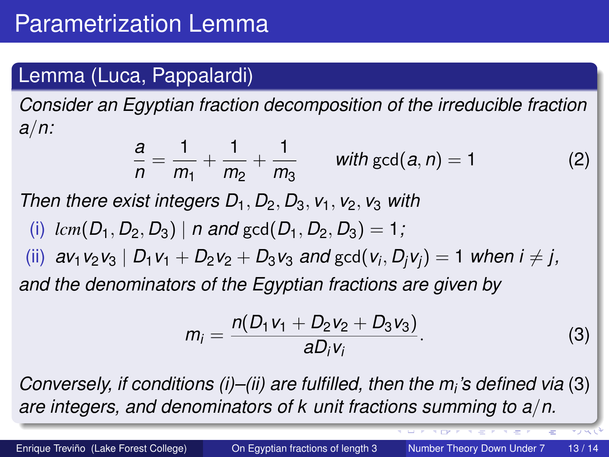#### Lemma (Luca, Pappalardi)

*Consider an Egyptian fraction decomposition of the irreducible fraction a*/*n:*

$$
\frac{a}{n} = \frac{1}{m_1} + \frac{1}{m_2} + \frac{1}{m_3} \qquad \text{with } \gcd(a, n) = 1 \tag{2}
$$

*Then there exist integers*  $D_1$ *,*  $D_2$ *,*  $D_3$ *,*  $v_1$ *,*  $v_2$ *,*  $v_3$  *with* 

(i)  $lcm(D_1, D_2, D_3)$  | *n* and gcd( $D_1, D_2, D_3$ ) = 1;

(ii)  $a$ v<sub>1</sub> v<sub>2</sub> v<sub>3</sub> |  $D_1$  v<sub>1</sub> +  $D_2$  v<sub>2</sub> +  $D_3$  v<sub>3</sub> and gcd( $v_i$ ,  $D_j$  v<sub>j</sub>) = 1 when i  $\neq$  j, *and the denominators of the Egyptian fractions are given by*

<span id="page-12-0"></span>
$$
m_i = \frac{n(D_1v_1 + D_2v_2 + D_3v_3)}{aD_iv_i}.
$$
 (3)

*Conversely, if conditions (i)–(ii) are fulfilled, then the m<sup>i</sup> 's defined via* [\(3\)](#page-12-0) *are integers, and denominators of k unit fractions summing to a*/*n.*